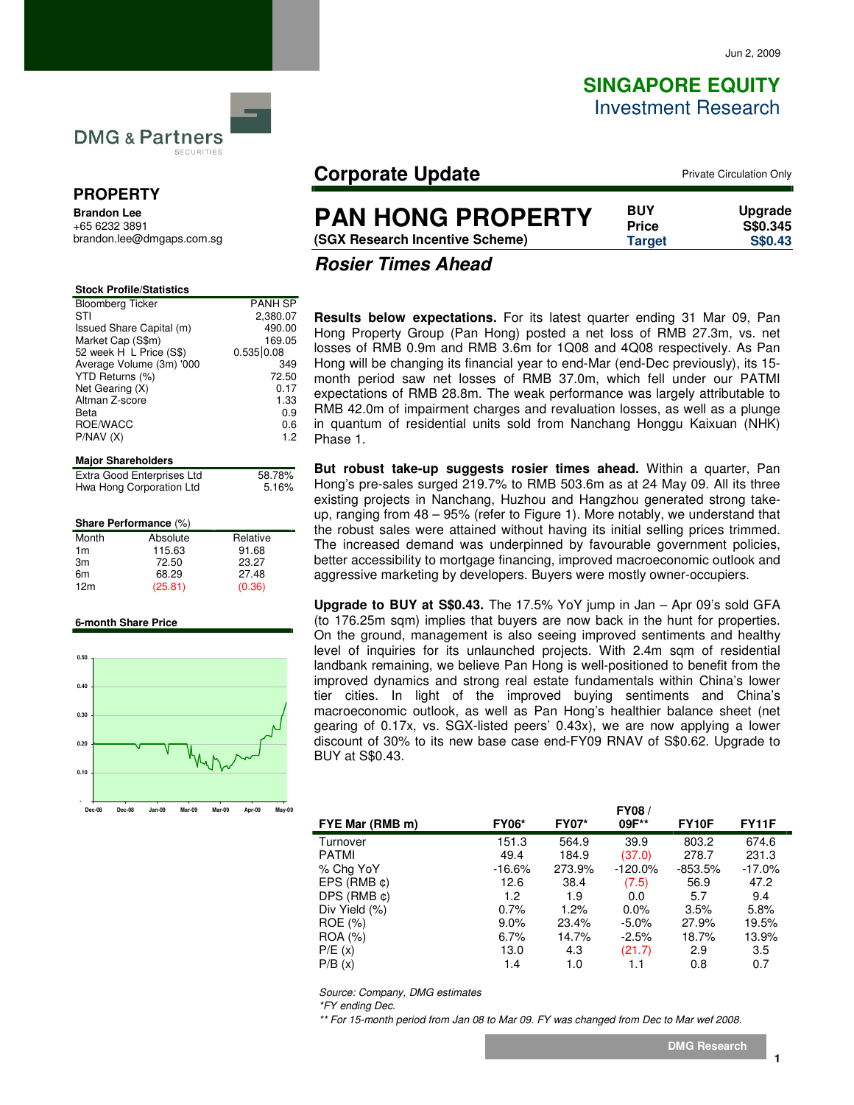# **SINGAPORE EQUITY** Investment Research



# **PROPERTY**

**Brandon Lee**  +65 6232 3891 brandon.lee@dmgaps.com.sg

| <b>Stock Profile/Statistics</b> |                |
|---------------------------------|----------------|
| <b>Bloomberg Ticker</b>         | <b>PANH SP</b> |
| STI                             | 2,380.07       |
| Issued Share Capital (m)        | 490.00         |
| Market Cap (S\$m)               | 169.05         |
| 52 week H L Price (S\$)         | 0.535 0.08     |
| Average Volume (3m) '000        | 349            |
| YTD Returns (%)                 | 72.50          |
| Net Gearing (X)                 | 0.17           |
| Altman Z-score                  | 1.33           |
| Beta                            | 0.9            |
| ROE/WACC                        | 0.6            |
| P/NAV(X)                        | 1.2            |
|                                 |                |

| 58.78% |
|--------|
| 5.16%  |
|        |

#### **Share Performance** (%)

| Month           | Absolute | Relative |
|-----------------|----------|----------|
| 1 <sub>m</sub>  | 115.63   | 91.68    |
| 3m              | 72.50    | 23.27    |
| 6m              | 68.29    | 27.48    |
| 12 <sub>m</sub> | (25.81)  | (0.36)   |

#### **6-month Share Price**



# **Corporate Update Private Circulation Only**

# **PAN HONG PROPERTY**

**(SGX Research Incentive Scheme) Target S\$0.43**

**BUY Upgrade Price S\$0.345**

**Rosier Times Ahead** 

**Results below expectations.** For its latest quarter ending 31 Mar 09, Pan Hong Property Group (Pan Hong) posted a net loss of RMB 27.3m, vs. net losses of RMB 0.9m and RMB 3.6m for 1Q08 and 4Q08 respectively. As Pan Hong will be changing its financial year to end-Mar (end-Dec previously), its 15 month period saw net losses of RMB 37.0m, which fell under our PATMI expectations of RMB 28.8m. The weak performance was largely attributable to RMB 42.0m of impairment charges and revaluation losses, as well as a plunge in quantum of residential units sold from Nanchang Honggu Kaixuan (NHK) Phase 1.

**But robust take-up suggests rosier times ahead.** Within a quarter, Pan Hong's pre-sales surged 219.7% to RMB 503.6m as at 24 May 09. All its three existing projects in Nanchang, Huzhou and Hangzhou generated strong takeup, ranging from 48 – 95% (refer to Figure 1). More notably, we understand that the robust sales were attained without having its initial selling prices trimmed. The increased demand was underpinned by favourable government policies, better accessibility to mortgage financing, improved macroeconomic outlook and aggressive marketing by developers. Buyers were mostly owner-occupiers.

**Upgrade to BUY at S\$0.43.** The 17.5% YoY jump in Jan – Apr 09's sold GFA (to 176.25m sqm) implies that buyers are now back in the hunt for properties. On the ground, management is also seeing improved sentiments and healthy level of inquiries for its unlaunched projects. With 2.4m sqm of residential landbank remaining, we believe Pan Hong is well-positioned to benefit from the improved dynamics and strong real estate fundamentals within China's lower tier cities. In light of the improved buying sentiments and China's macroeconomic outlook, as well as Pan Hong's healthier balance sheet (net gearing of 0.17x, vs. SGX-listed peers' 0.43x), we are now applying a lower discount of 30% to its new base case end-FY09 RNAV of S\$0.62. Upgrade to BUY at S\$0.43.

|                     |              |              | FY08/      |                    |              |  |
|---------------------|--------------|--------------|------------|--------------------|--------------|--|
| FYE Mar (RMB m)     | <b>FY06*</b> | <b>FY07*</b> | 09F**      | FY <sub>10</sub> F | <b>FY11F</b> |  |
| Turnover            | 151.3        | 564.9        | 39.9       | 803.2              | 674.6        |  |
| <b>PATMI</b>        | 49.4         | 184.9        | (37.0)     | 278.7              | 231.3        |  |
| % Chg YoY           | $-16.6%$     | 273.9%       | $-120.0\%$ | $-853.5%$          | $-17.0\%$    |  |
| EPS $(RMB \phi)$    | 12.6         | 38.4         | (7.5)      | 56.9               | 47.2         |  |
| $DPS$ (RMB $\phi$ ) | 1.2          | 1.9          | 0.0        | 5.7                | 9.4          |  |
| Div Yield (%)       | 0.7%         | 1.2%         | 0.0%       | 3.5%               | 5.8%         |  |
| ROE (%)             | $9.0\%$      | 23.4%        | $-5.0\%$   | 27.9%              | 19.5%        |  |
| ROA (%)             | 6.7%         | 14.7%        | $-2.5%$    | 18.7%              | 13.9%        |  |
| P/E(x)              | 13.0         | 4.3          | (21.7)     | 2.9                | 3.5          |  |
| P/B(x)              | 1.4          | 1.0          |            | 0.8                | 0.7          |  |
|                     |              |              |            |                    |              |  |

Source: Company, DMG estimates

\*FY ending Dec.

\*\* For 15-month period from Jan 08 to Mar 09. FY was changed from Dec to Mar wef 2008.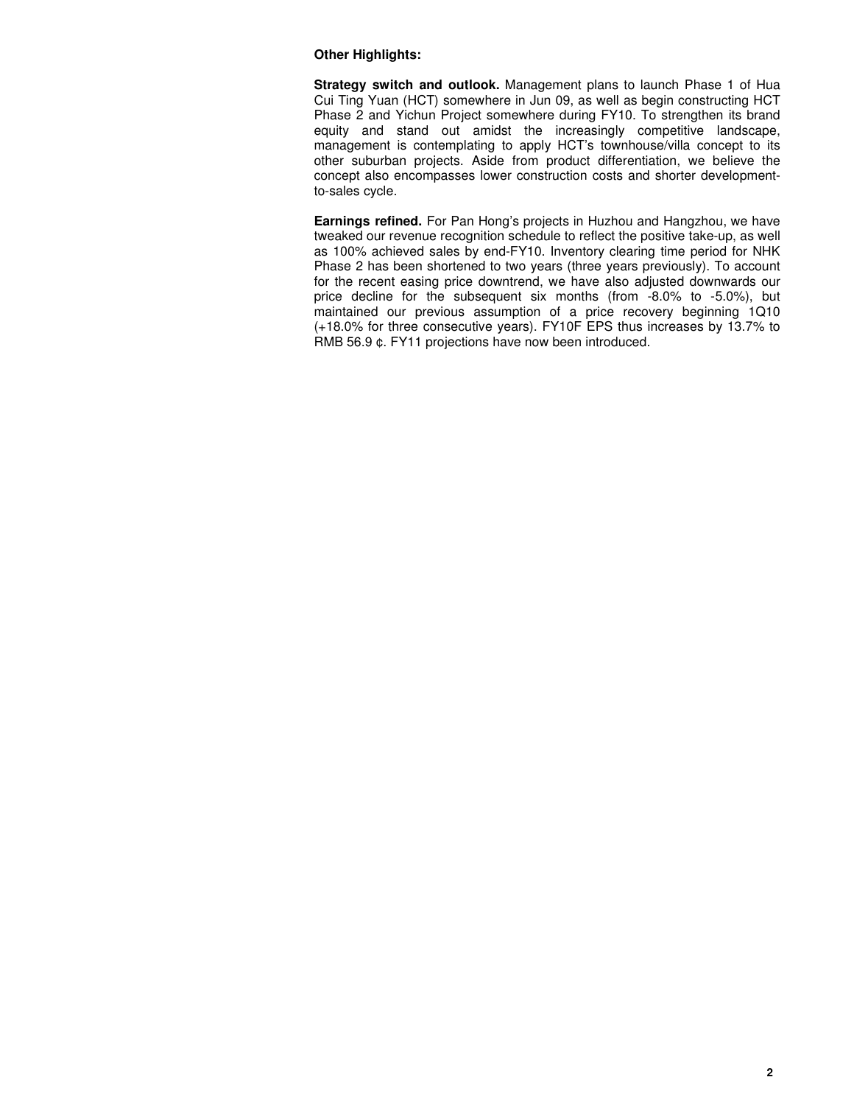### **Other Highlights:**

**Strategy switch and outlook.** Management plans to launch Phase 1 of Hua Cui Ting Yuan (HCT) somewhere in Jun 09, as well as begin constructing HCT Phase 2 and Yichun Project somewhere during FY10. To strengthen its brand equity and stand out amidst the increasingly competitive landscape, management is contemplating to apply HCT's townhouse/villa concept to its other suburban projects. Aside from product differentiation, we believe the concept also encompasses lower construction costs and shorter developmentto-sales cycle.

**Earnings refined.** For Pan Hong's projects in Huzhou and Hangzhou, we have tweaked our revenue recognition schedule to reflect the positive take-up, as well as 100% achieved sales by end-FY10. Inventory clearing time period for NHK Phase 2 has been shortened to two years (three years previously). To account for the recent easing price downtrend, we have also adjusted downwards our price decline for the subsequent six months (from -8.0% to -5.0%), but maintained our previous assumption of a price recovery beginning 1Q10 (+18.0% for three consecutive years). FY10F EPS thus increases by 13.7% to RMB 56.9 ¢. FY11 projections have now been introduced.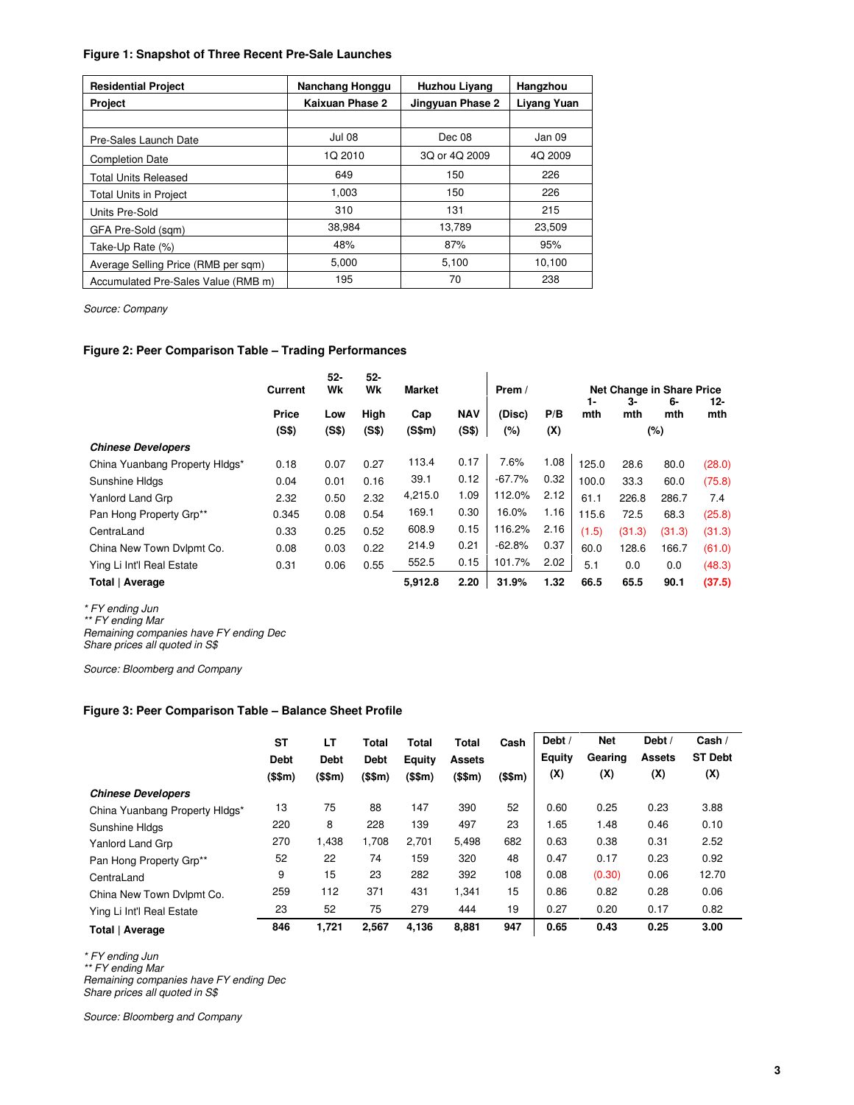### **Figure 1: Snapshot of Three Recent Pre-Sale Launches**

| <b>Residential Project</b>          | Nanchang Honggu | <b>Huzhou Livang</b> | Hangzhou    |
|-------------------------------------|-----------------|----------------------|-------------|
| <b>Project</b>                      | Kaixuan Phase 2 | Jingyuan Phase 2     | Liyang Yuan |
|                                     |                 |                      |             |
| Pre-Sales Launch Date               | <b>Jul 08</b>   | Dec 08               | Jan 09      |
| <b>Completion Date</b>              | 1Q 2010         | 3Q or 4Q 2009        | 4Q 2009     |
| <b>Total Units Released</b>         | 649             | 150                  | 226         |
| <b>Total Units in Project</b>       | 1.003           | 150                  | 226         |
| Units Pre-Sold                      | 310             | 131                  | 215         |
| GFA Pre-Sold (sqm)                  | 38,984          | 13,789               | 23,509      |
| Take-Up Rate (%)                    | 48%             | 87%                  | 95%         |
| Average Selling Price (RMB per sgm) | 5,000           | 5,100                | 10,100      |
| Accumulated Pre-Sales Value (RMB m) | 195             | 70                   | 238         |

Source: Company

## **Figure 2: Peer Comparison Table – Trading Performances**

|                                | <b>Current</b> | $52-$<br>Wk  | 52-<br>Wk     | <b>Market</b> |            | Prem /   |      |           |           | Net Change in Share Price |        |
|--------------------------------|----------------|--------------|---------------|---------------|------------|----------|------|-----------|-----------|---------------------------|--------|
|                                | Price          |              |               |               | <b>NAV</b> | (Disc)   | P/B  | 1-<br>mth | 3-<br>mth | 6-<br>mth                 | 12-    |
|                                | (S\$)          | Low<br>(S\$) | High<br>(S\$) | Cap<br>(S\$m) | (S\$)      | $(\%)$   | (X)  |           |           | $(\%)$                    | mth    |
| <b>Chinese Developers</b>      |                |              |               |               |            |          |      |           |           |                           |        |
| China Yuanbang Property Hldgs* | 0.18           | 0.07         | 0.27          | 113.4         | 0.17       | 7.6%     | 1.08 | 125.0     | 28.6      | 80.0                      | (28.0) |
| Sunshine HIdas                 | 0.04           | 0.01         | 0.16          | 39.1          | 0.12       | $-67.7%$ | 0.32 | 100.0     | 33.3      | 60.0                      | (75.8) |
| Yanlord Land Grp               | 2.32           | 0.50         | 2.32          | 4,215.0       | 1.09       | 112.0%   | 2.12 | 61.1      | 226.8     | 286.7                     | 7.4    |
| Pan Hong Property Grp**        | 0.345          | 0.08         | 0.54          | 169.1         | 0.30       | 16.0%    | 1.16 | 115.6     | 72.5      | 68.3                      | (25.8) |
| CentraLand                     | 0.33           | 0.25         | 0.52          | 608.9         | 0.15       | 116.2%   | 2.16 | (1.5)     | (31.3)    | (31.3)                    | (31.3) |
| China New Town Dvlpmt Co.      | 0.08           | 0.03         | 0.22          | 214.9         | 0.21       | $-62.8%$ | 0.37 | 60.0      | 128.6     | 166.7                     | (61.0) |
| Ying Li Int'l Real Estate      | 0.31           | 0.06         | 0.55          | 552.5         | 0.15       | 101.7%   | 2.02 | 5.1       | 0.0       | 0.0                       | (48.3) |
| Total   Average                |                |              |               | 5,912.8       | 2.20       | 31.9%    | 1.32 | 66.5      | 65.5      | 90.1                      | (37.5) |

\* FY ending Jun

\*\* FY ending Mar

Remaining companies have FY ending Dec Share prices all quoted in S\$

Source: Bloomberg and Company

#### **Figure 3: Peer Comparison Table – Balance Sheet Profile**

|                                | <b>ST</b>   | LТ          | Total       | Total   | Total         | Cash    | Debt / | <b>Net</b> | Debt /        | Cash /         |
|--------------------------------|-------------|-------------|-------------|---------|---------------|---------|--------|------------|---------------|----------------|
|                                | <b>Debt</b> | <b>Debt</b> | <b>Debt</b> | Equity  | <b>Assets</b> |         | Equity | Gearing    | <b>Assets</b> | <b>ST Debt</b> |
|                                | (\$\$m)     | (\$\$m)     | (\$\$m)     | (\$\$m) | (\$\$m)       | (\$\$m) | (X)    | (X)        | (X)           | (X)            |
| <b>Chinese Developers</b>      |             |             |             |         |               |         |        |            |               |                |
| China Yuanbang Property HIdgs* | 13          | 75          | 88          | 147     | 390           | 52      | 0.60   | 0.25       | 0.23          | 3.88           |
| Sunshine HIdas                 | 220         | 8           | 228         | 139     | 497           | 23      | 1.65   | 1.48       | 0.46          | 0.10           |
| Yanlord Land Grp               | 270         | 1,438       | 1,708       | 2.701   | 5.498         | 682     | 0.63   | 0.38       | 0.31          | 2.52           |
| Pan Hong Property Grp**        | 52          | 22          | 74          | 159     | 320           | 48      | 0.47   | 0.17       | 0.23          | 0.92           |
| CentraLand                     | 9           | 15          | 23          | 282     | 392           | 108     | 0.08   | (0.30)     | 0.06          | 12.70          |
| China New Town Dvlpmt Co.      | 259         | 112         | 371         | 431     | 1,341         | 15      | 0.86   | 0.82       | 0.28          | 0.06           |
| Ying Li Int'l Real Estate      | 23          | 52          | 75          | 279     | 444           | 19      | 0.27   | 0.20       | 0.17          | 0.82           |
| Total   Average                | 846         | 1,721       | 2.567       | 4.136   | 8,881         | 947     | 0.65   | 0.43       | 0.25          | 3.00           |

\* FY ending Jun

\*\* FY ending Mar

Remaining companies have FY ending Dec Share prices all quoted in S\$

Source: Bloomberg and Company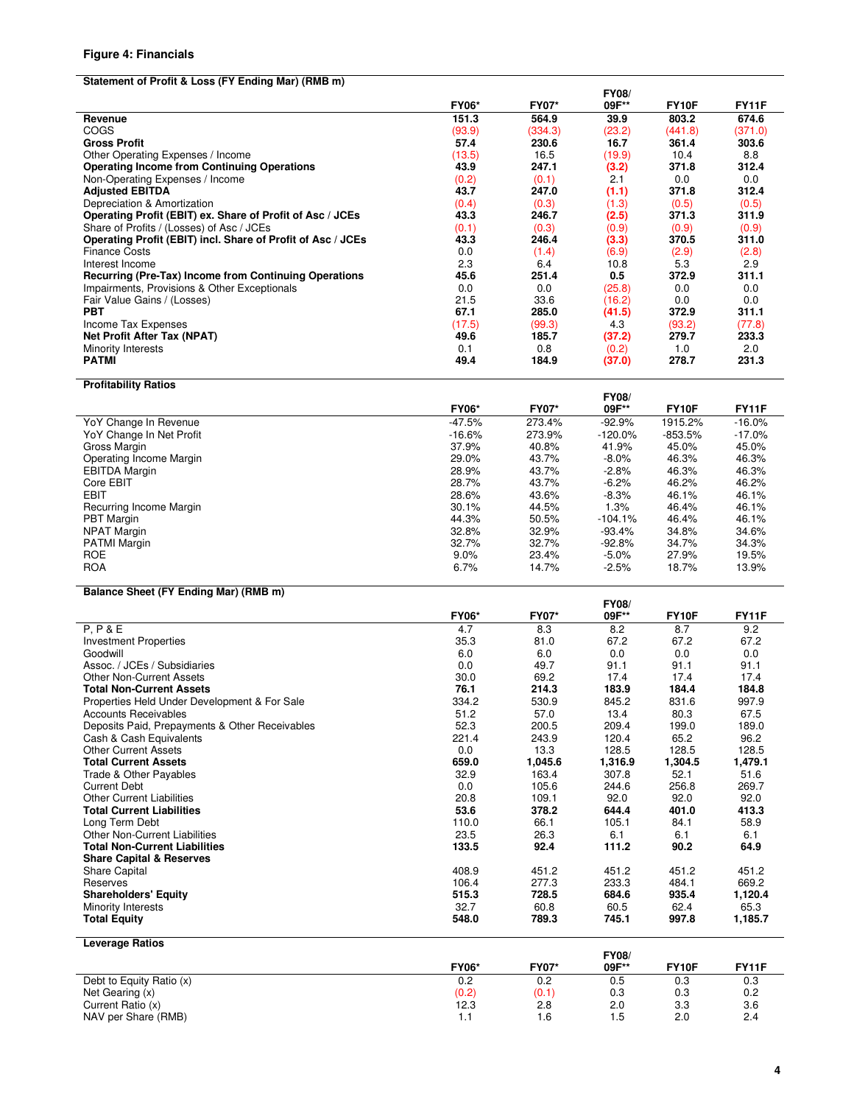#### **Figure 4: Financials**

#### **Statement of Profit & Loss (FY Ending Mar) (RMB m)**

|                                                             |              |              | <b>FY08/</b> |                    |              |
|-------------------------------------------------------------|--------------|--------------|--------------|--------------------|--------------|
|                                                             | <b>FY06*</b> | <b>FY07*</b> | 09F**        | FY <sub>10</sub> F | <b>FY11F</b> |
| Revenue                                                     | 151.3        | 564.9        | 39.9         | 803.2              | 674.6        |
| <b>COGS</b>                                                 | (93.9)       | (334.3)      | (23.2)       | (441.8)            | (371.0)      |
| <b>Gross Profit</b>                                         | 57.4         | 230.6        | 16.7         | 361.4              | 303.6        |
| Other Operating Expenses / Income                           | (13.5)       | 16.5         | (19.9)       | 10.4               | 8.8          |
| <b>Operating Income from Continuing Operations</b>          | 43.9         | 247.1        | (3.2)        | 371.8              | 312.4        |
| Non-Operating Expenses / Income                             | (0.2)        | (0.1)        | 2.1          | 0.0                | 0.0          |
| <b>Adjusted EBITDA</b>                                      | 43.7         | 247.0        | (1.1)        | 371.8              | 312.4        |
| Depreciation & Amortization                                 | (0.4)        | (0.3)        | (1.3)        | (0.5)              | (0.5)        |
| Operating Profit (EBIT) ex. Share of Profit of Asc / JCEs   | 43.3         | 246.7        | (2.5)        | 371.3              | 311.9        |
| Share of Profits / (Losses) of Asc / JCEs                   | (0.1)        | (0.3)        | (0.9)        | (0.9)              | (0.9)        |
| Operating Profit (EBIT) incl. Share of Profit of Asc / JCEs | 43.3         | 246.4        | (3.3)        | 370.5              | 311.0        |
| <b>Finance Costs</b>                                        | 0.0          | (1.4)        | (6.9)        | (2.9)              | (2.8)        |
| Interest Income                                             | 2.3          | 6.4          | 10.8         | 5.3                | 2.9          |
| Recurring (Pre-Tax) Income from Continuing Operations       | 45.6         | 251.4        | 0.5          | 372.9              | 311.1        |
| Impairments, Provisions & Other Exceptionals                | 0.0          | 0.0          | (25.8)       | 0.0                | 0.0          |
| Fair Value Gains / (Losses)                                 | 21.5         | 33.6         | (16.2)       | 0.0                | 0.0          |
| <b>PBT</b>                                                  | 67.1         | 285.0        | (41.5)       | 372.9              | 311.1        |
| Income Tax Expenses                                         | (17.5)       | (99.3)       | 4.3          | (93.2)             | (77.8)       |
| <b>Net Profit After Tax (NPAT)</b>                          | 49.6         | 185.7        | (37.2)       | 279.7              | 233.3        |
| Minority Interests                                          | 0.1          | 0.8          | (0.2)        | 1.0                | 2.0          |
| <b>PATMI</b>                                                | 49.4         | 184.9        | (37.0)       | 278.7              | 231.3        |

**Profitability Ratios FY06\* FY07\* FY08/**  09F\*\* FY10F FY11F<br>-92.9% 1915.2% -16.0% VoY Change In Revenue 16.0% 273.4% -92.9% 1915.2% -16.0% 273.4% -92.9% 1915.2% -16.0% -16.0% -16.0% -17.0% -17<br>10.6% 273.9% -120.0% -853.5% -17.0% VoY Change In Net Profit 17.0% -1853.5% -17.0% -16.6% 273.9% -120.0% -853.5% -17.0%<br>37.9% -10.8% -11.9% -11.9% -16.0% -15.0% -15.0% Gross Margin 37.9% 40.8% 41.9% 45.0% 45.0% Operating Income Margin 29.0% 43.7% -8.0% 46.3% 46.3% EBITDA Margin 28.9% 43.7% -2.8% 46.3% 46.3% Core EBIT 28.7% 43.7% -6.2% 46.2% 46.2% EBIT 28.6% 43.6% -8.3% 46.1% 46.1% Recurring Income Margin 1.3% 46.1% 46.1% 46.1% 46.1% 46.1% 46.1% 46.1% 46.1% 46.1% 46.1% 46.1% 46.1% 46.1% 46.1%<br>PBT Margin 1.3% 46.4% 46.1% 46.1% 46.1% 44.3% 50.5% -104.1% 46.4% 46.1% 46.1% 46.1% 46.1% 46.1% 46.1% 46.1% 4 PBT Margin 44.3% 50.5% -104.1% 46.4% 46.1% NPAT Margin 32.8% 32.9% -93.4% 34.8% 34.6% PATMI Margin 32.7% 32.7% -92.8% 34.7% 34.3% ROE 9.0% 23.4% -5.0% 27.9% 19.5% ROA 6.7% 14.7% -2.5% 18.7% 13.9%

## **Balance Sheet (FY Ending Mar) (RMB m)**

|                                                |              |              | <b>FY08/</b> |         |              |
|------------------------------------------------|--------------|--------------|--------------|---------|--------------|
|                                                | <b>FY06*</b> | <b>FY07*</b> | 09F**        | FY10F   | <b>FY11F</b> |
| P, P & E                                       | 4.7          | 8.3          | 8.2          | 8.7     | 9.2          |
| <b>Investment Properties</b>                   | 35.3         | 81.0         | 67.2         | 67.2    | 67.2         |
| Goodwill                                       | 6.0          | 6.0          | 0.0          | 0.0     | 0.0          |
| Assoc. / JCEs / Subsidiaries                   | 0.0          | 49.7         | 91.1         | 91.1    | 91.1         |
| Other Non-Current Assets                       | 30.0         | 69.2         | 17.4         | 17.4    | 17.4         |
| <b>Total Non-Current Assets</b>                | 76.1         | 214.3        | 183.9        | 184.4   | 184.8        |
| Properties Held Under Development & For Sale   | 334.2        | 530.9        | 845.2        | 831.6   | 997.9        |
| <b>Accounts Receivables</b>                    | 51.2         | 57.0         | 13.4         | 80.3    | 67.5         |
| Deposits Paid, Prepayments & Other Receivables | 52.3         | 200.5        | 209.4        | 199.0   | 189.0        |
| Cash & Cash Equivalents                        | 221.4        | 243.9        | 120.4        | 65.2    | 96.2         |
| <b>Other Current Assets</b>                    | 0.0          | 13.3         | 128.5        | 128.5   | 128.5        |
| <b>Total Current Assets</b>                    | 659.0        | 1,045.6      | 1,316.9      | 1,304.5 | 1,479.1      |
| Trade & Other Payables                         | 32.9         | 163.4        | 307.8        | 52.1    | 51.6         |
| <b>Current Debt</b>                            | 0.0          | 105.6        | 244.6        | 256.8   | 269.7        |
| <b>Other Current Liabilities</b>               | 20.8         | 109.1        | 92.0         | 92.0    | 92.0         |
| <b>Total Current Liabilities</b>               | 53.6         | 378.2        | 644.4        | 401.0   | 413.3        |
| Long Term Debt                                 | 110.0        | 66.1         | 105.1        | 84.1    | 58.9         |
| Other Non-Current Liabilities                  | 23.5         | 26.3         | 6.1          | 6.1     | 6.1          |
| <b>Total Non-Current Liabilities</b>           | 133.5        | 92.4         | 111.2        | 90.2    | 64.9         |
| <b>Share Capital &amp; Reserves</b>            |              |              |              |         |              |
| <b>Share Capital</b>                           | 408.9        | 451.2        | 451.2        | 451.2   | 451.2        |
| Reserves                                       | 106.4        | 277.3        | 233.3        | 484.1   | 669.2        |
| <b>Shareholders' Equity</b>                    | 515.3        | 728.5        | 684.6        | 935.4   | 1,120.4      |
| Minority Interests                             | 32.7         | 60.8         | 60.5         | 62.4    | 65.3         |
| <b>Total Equity</b>                            | 548.0        | 789.3        | 745.1        | 997.8   | 1,185.7      |
|                                                |              |              |              |         |              |
| <b>Leverage Ratios</b>                         |              |              |              |         |              |
|                                                |              |              | TVAO         |         |              |

|              |              | <b>FYUO</b> |              |              |
|--------------|--------------|-------------|--------------|--------------|
| <b>FY06*</b> | <b>FY07*</b> | 09F**       | <b>FY10F</b> | <b>FY11F</b> |
| 0.2          | 0.2          | 0.5         | 0.3          | 0.3          |
| (0.2)        | (0.1)        | 0.3         | 0.3          | 0.2          |
| 12.3         | 2.8          | 2.0         | 3.3          | 3.6          |
| .            | I.6          | l.5         | 2.0          | 2.4          |
|              |              |             |              |              |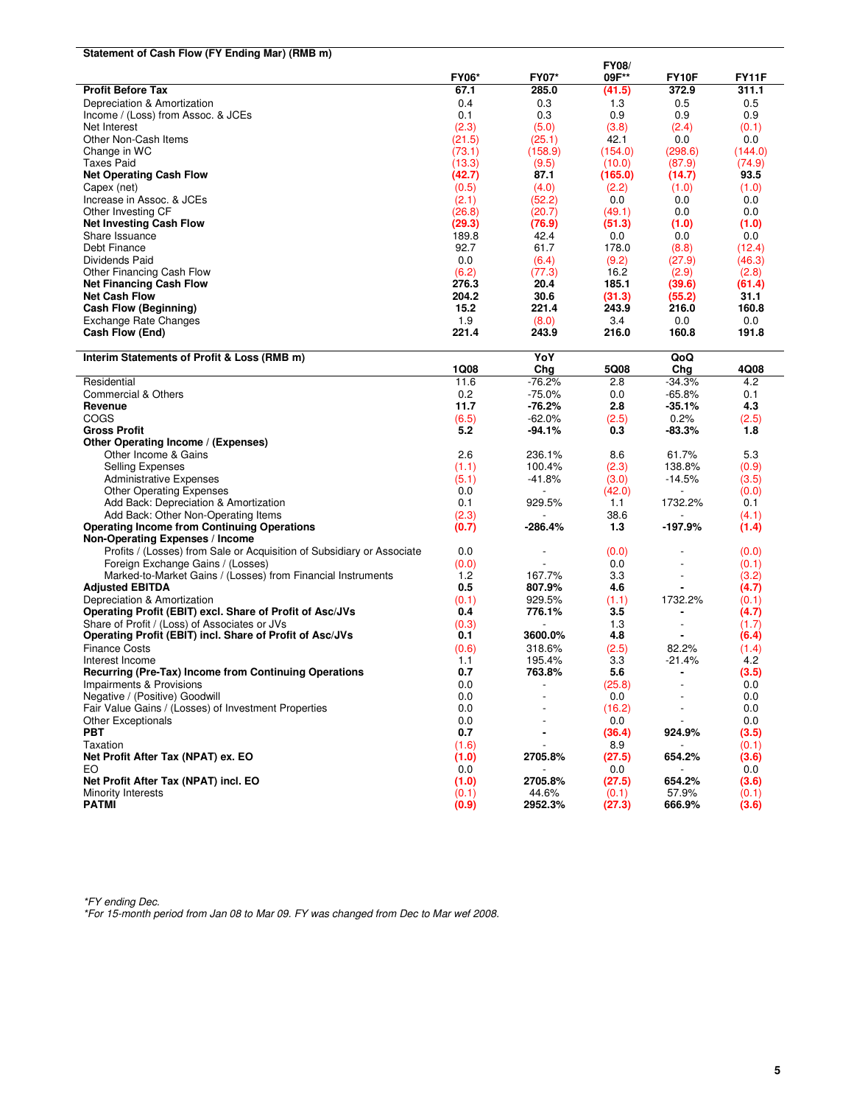| Statement of Cash Flow (FY Ending Mar) (RMB m)                         |              |                |              |                          |              |
|------------------------------------------------------------------------|--------------|----------------|--------------|--------------------------|--------------|
|                                                                        |              |                | <b>FY08/</b> |                          |              |
|                                                                        | <b>FY06*</b> | <b>FY07*</b>   | 09F**        | FY10F                    | <b>FY11F</b> |
| <b>Profit Before Tax</b>                                               | 67.1         | 285.0          | (41.5)       | 372.9                    | 311.1        |
| Depreciation & Amortization                                            | 0.4          | 0.3            | 1.3          | 0.5                      | 0.5          |
| Income / (Loss) from Assoc. & JCEs                                     | 0.1          | 0.3            | 0.9          | 0.9                      | 0.9          |
| Net Interest                                                           | (2.3)        | (5.0)          | (3.8)        | (2.4)                    | (0.1)        |
| Other Non-Cash Items                                                   | (21.5)       | (25.1)         | 42.1         | 0.0                      | 0.0          |
| Change in WC                                                           | (73.1)       | (158.9)        | (154.0)      | (298.6)                  | (144.0)      |
| Taxes Paid                                                             | (13.3)       | (9.5)          | (10.0)       | (87.9)                   | (74.9)       |
| <b>Net Operating Cash Flow</b>                                         | (42.7)       | 87.1           | (165.0)      | (14.7)                   | 93.5         |
| Capex (net)                                                            | (0.5)        | (4.0)          | (2.2)        | (1.0)                    | (1.0)        |
| Increase in Assoc. & JCEs                                              | (2.1)        | (52.2)         | 0.0          | 0.0                      | 0.0          |
| Other Investing CF                                                     | (26.8)       | (20.7)         | (49.1)       | 0.0                      | 0.0          |
| <b>Net Investing Cash Flow</b>                                         | (29.3)       | (76.9)         | (51.3)       | (1.0)                    | (1.0)        |
| Share Issuance                                                         | 189.8        | 42.4           | 0.0          | 0.0                      | 0.0          |
| Debt Finance                                                           | 92.7         | 61.7           | 178.0        | (8.8)                    | (12.4)       |
| Dividends Paid                                                         | 0.0          | (6.4)          | (9.2)        | (27.9)                   | (46.3)       |
| Other Financing Cash Flow                                              | (6.2)        | (77.3)         | 16.2         | (2.9)                    | (2.8)        |
| <b>Net Financing Cash Flow</b>                                         | 276.3        | 20.4           | 185.1        | (39.6)                   | (61.4)       |
| <b>Net Cash Flow</b>                                                   | 204.2        | 30.6           | (31.3)       | (55.2)                   | 31.1         |
| Cash Flow (Beginning)                                                  | 15.2         | 221.4          | 243.9        | 216.0                    | 160.8        |
| <b>Exchange Rate Changes</b>                                           | 1.9          | (8.0)          | 3.4          | 0.0                      | 0.0          |
| Cash Flow (End)                                                        | 221.4        | 243.9          | 216.0        | 160.8                    | 191.8        |
| Interim Statements of Profit & Loss (RMB m)                            |              | YoY            |              | QoQ                      |              |
|                                                                        | 1Q08         | Chg            | 5Q08         | Chg                      | 4Q08         |
| Residential                                                            | 11.6         | $-76.2%$       | 2.8          | $-34.3%$                 | 4.2          |
| <b>Commercial &amp; Others</b>                                         | 0.2          | $-75.0%$       | 0.0          | $-65.8%$                 | 0.1          |
| Revenue                                                                | 11.7         | $-76.2%$       | 2.8          | $-35.1%$                 | 4.3          |
| COGS                                                                   | (6.5)        | $-62.0%$       | (2.5)        | 0.2%                     | (2.5)        |
| <b>Gross Profit</b>                                                    | 5.2          | -94.1%         | 0.3          | $-83.3%$                 | 1.8          |
| Other Operating Income / (Expenses)                                    |              |                |              |                          |              |
| Other Income & Gains                                                   | 2.6          | 236.1%         | 8.6          | 61.7%                    | 5.3          |
| Selling Expenses                                                       | (1.1)        | 100.4%         | (2.3)        | 138.8%                   | (0.9)        |
| <b>Administrative Expenses</b>                                         | (5.1)        | $-41.8%$       | (3.0)        | $-14.5%$                 | (3.5)        |
| <b>Other Operating Expenses</b>                                        | 0.0          |                | (42.0)       |                          | (0.0)        |
| Add Back: Depreciation & Amortization                                  | 0.1          | 929.5%         | 1.1          | 1732.2%                  | 0.1          |
| Add Back: Other Non-Operating Items                                    | (2.3)        |                | 38.6         |                          | (4.1)        |
| <b>Operating Income from Continuing Operations</b>                     | (0.7)        | -286.4%        | 1.3          | -197.9%                  | (1.4)        |
| Non-Operating Expenses / Income                                        |              |                |              |                          |              |
| Profits / (Losses) from Sale or Acquisition of Subsidiary or Associate | 0.0          |                | (0.0)        |                          | (0.0)        |
| Foreign Exchange Gains / (Losses)                                      | (0.0)        |                | 0.0          |                          | (0.1)        |
| Marked-to-Market Gains / (Losses) from Financial Instruments           | 1.2          | 167.7%         | 3.3          |                          | (3.2)        |
| <b>Adjusted EBITDA</b>                                                 | 0.5          | 807.9%         | 4.6          | ä,                       | (4.7)        |
| Depreciation & Amortization                                            | (0.1)        | 929.5%         | (1.1)        | 1732.2%                  | (0.1)        |
| Operating Profit (EBIT) excl. Share of Profit of Asc/JVs               | 0.4          | 776.1%         | 3.5          |                          | (4.7)        |
| Share of Profit / (Loss) of Associates or JVs                          | (0.3)        |                | 1.3          | $\overline{\phantom{a}}$ | (1.7)        |
| Operating Profit (EBIT) incl. Share of Profit of Asc/JVs               | 0.1          | 3600.0%        | 4.8          | $\blacksquare$           | (6.4)        |
| <b>Finance Costs</b>                                                   | (0.6)        | 318.6%         | (2.5)        | 82.2%                    | (1.4)        |
| Interest Income                                                        | 1.1          | 195.4%         | 3.3          | $-21.4%$                 | 4.2          |
| Recurring (Pre-Tax) Income from Continuing Operations                  | 0.7          | 763.8%         | 5.6          |                          | (3.5)        |
| Impairments & Provisions                                               | 0.0          |                | (25.8)       |                          | 0.0          |
| Negative / (Positive) Goodwill                                         | 0.0          |                | 0.0          |                          | 0.0          |
| Fair Value Gains / (Losses) of Investment Properties                   | 0.0          |                | (16.2)       |                          | 0.0          |
| <b>Other Exceptionals</b>                                              | 0.0          |                | 0.0          |                          | 0.0          |
| <b>PBT</b>                                                             | 0.7          | $\blacksquare$ | (36.4)       | 924.9%                   | (3.5)        |
| Taxation                                                               | (1.6)        |                | 8.9          |                          | (0.1)        |
| Net Profit After Tax (NPAT) ex. EO                                     | (1.0)        | 2705.8%        | (27.5)       | 654.2%                   | (3.6)        |
| EO                                                                     | 0.0          |                | 0.0          |                          | 0.0          |
| Net Profit After Tax (NPAT) incl. EO                                   | (1.0)        | 2705.8%        | (27.5)       | 654.2%                   | (3.6)        |
| Minority Interests                                                     | (0.1)        | 44.6%          | (0.1)        | 57.9%                    | (0.1)        |
| <b>PATMI</b>                                                           | (0.9)        | 2952.3%        | (27.3)       | 666.9%                   | (3.6)        |
|                                                                        |              |                |              |                          |              |

\*FY ending Dec. \*For 15-month period from Jan 08 to Mar 09. FY was changed from Dec to Mar wef 2008.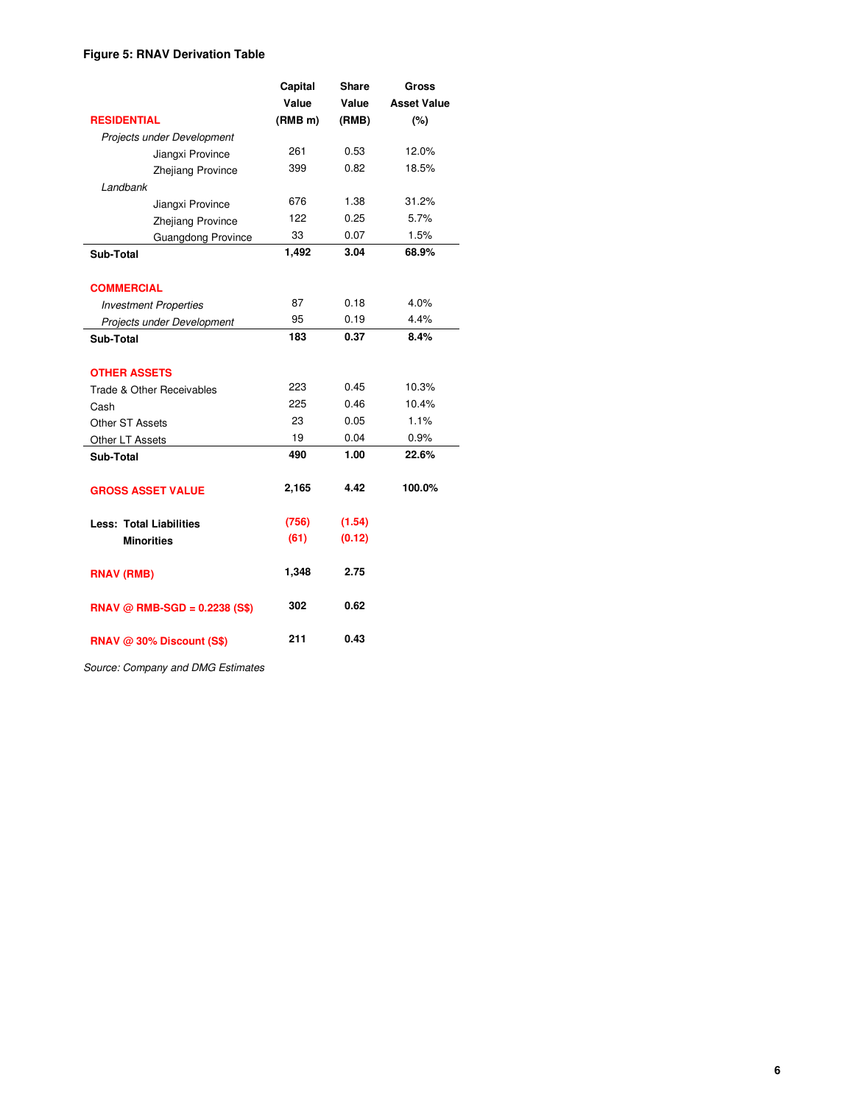# **Figure 5: RNAV Derivation Table**

|                                |                                | Capital             | Share  | Gross              |
|--------------------------------|--------------------------------|---------------------|--------|--------------------|
|                                |                                | Value               | Value  | <b>Asset Value</b> |
| <b>RESIDENTIAL</b>             |                                | (RMB <sub>m</sub> ) | (RMB)  | (%)                |
|                                | Projects under Development     |                     |        |                    |
|                                | Jiangxi Province               | 261                 | 0.53   | 12.0%              |
|                                | Zhejiang Province              | 399                 | 0.82   | 18.5%              |
| Landbank                       |                                |                     |        |                    |
|                                | Jiangxi Province               | 676                 | 1.38   | 31.2%              |
|                                | Zhejiang Province              | 122                 | 0.25   | 5.7%               |
|                                | Guangdong Province             | 33                  | 0.07   | 1.5%               |
| Sub-Total                      |                                | 1,492               | 3.04   | 68.9%              |
|                                |                                |                     |        |                    |
| <b>COMMERCIAL</b>              |                                |                     |        |                    |
| <b>Investment Properties</b>   |                                | 87                  | 0.18   | 4.0%               |
|                                | Projects under Development     | 95                  | 0.19   | 4.4%               |
| Sub-Total                      |                                | 183                 | 0.37   | 8.4%               |
|                                |                                |                     |        |                    |
| <b>OTHER ASSETS</b>            |                                |                     |        |                    |
| Trade & Other Receivables      |                                | 223                 | 0.45   | 10.3%              |
| Cash                           |                                | 225                 | 0.46   | 10.4%              |
| <b>Other ST Assets</b>         |                                | 23                  | 0.05   | 1.1%               |
| Other LT Assets                |                                | 19                  | 0.04   | 0.9%               |
| Sub-Total                      |                                | 490                 | 1.00   | 22.6%              |
|                                |                                |                     |        |                    |
| <b>GROSS ASSET VALUE</b>       |                                | 2,165               | 4.42   | 100.0%             |
| <b>Less: Total Liabilities</b> |                                | (756)               | (1.54) |                    |
| <b>Minorities</b>              |                                | (61)                | (0.12) |                    |
|                                |                                |                     |        |                    |
| <b>RNAV (RMB)</b>              |                                | 1,348               | 2.75   |                    |
|                                |                                |                     |        |                    |
|                                | $RNAV @ RMS-SGD = 0.2238 (S$)$ | 302                 | 0.62   |                    |
|                                |                                |                     |        |                    |
|                                | RNAV @ 30% Discount (S\$)      | 211                 | 0.43   |                    |

Source: Company and DMG Estimates